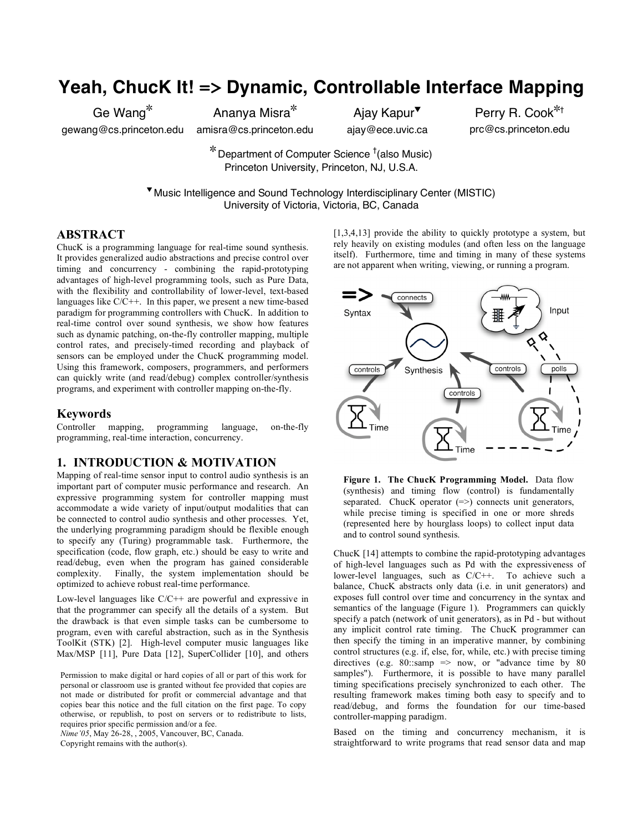# **Yeah, ChucK It! => Dynamic, Controllable Interface Mapping**

Ge Wang

gewang@cs.princeton.edu

Ananya Misra amisra@cs.princeton.edu

Ajay Kapur<sup>▼</sup> ajay@ece.uvic.ca

Perry R. Cook\*<sup>†</sup> prc@cs.princeton.edu

 $*$  Department of Computer Science  $^\dagger$ (also Music) Princeton University, Princeton, NJ, U.S.A.

 Music Intelligence and Sound Technology Interdisciplinary Center (MISTIC) University of Victoria, Victoria, BC, Canada

#### **ABSTRACT**

ChucK is a programming language for real-time sound synthesis. It provides generalized audio abstractions and precise control over timing and concurrency - combining the rapid-prototyping advantages of high-level programming tools, such as Pure Data, with the flexibility and controllability of lower-level, text-based languages like C/C++. In this paper, we present a new time-based paradigm for programming controllers with ChucK. In addition to real-time control over sound synthesis, we show how features such as dynamic patching, on-the-fly controller mapping, multiple control rates, and precisely-timed recording and playback of sensors can be employed under the ChucK programming model. Using this framework, composers, programmers, and performers can quickly write (and read/debug) complex controller/synthesis programs, and experiment with controller mapping on-the-fly.

#### **Keywords**

Controller mapping, programming language, on-the-fly programming, real-time interaction, concurrency.

#### **1. INTRODUCTION & MOTIVATION**

Mapping of real-time sensor input to control audio synthesis is an important part of computer music performance and research. An expressive programming system for controller mapping must accommodate a wide variety of input/output modalities that can be connected to control audio synthesis and other processes. Yet, the underlying programming paradigm should be flexible enough to specify any (Turing) programmable task. Furthermore, the specification (code, flow graph, etc.) should be easy to write and read/debug, even when the program has gained considerable complexity. Finally, the system implementation should be optimized to achieve robust real-time performance.

Low-level languages like C/C++ are powerful and expressive in that the programmer can specify all the details of a system. But the drawback is that even simple tasks can be cumbersome to program, even with careful abstraction, such as in the Synthesis ToolKit (STK) [2]. High-level computer music languages like Max/MSP [11], Pure Data [12], SuperCollider [10], and others

Permission to make digital or hard copies of all or part of this work for personal or classroom use is granted without fee provided that copies are not made or distributed for profit or commercial advantage and that copies bear this notice and the full citation on the first page. To copy otherwise, or republish, to post on servers or to redistribute to lists, requires prior specific permission and/or a fee.

*Nime'05*, May 26-28, , 2005, Vancouver, BC, Canada.

Copyright remains with the author(s).

[1,3,4,13] provide the ability to quickly prototype a system, but rely heavily on existing modules (and often less on the language itself). Furthermore, time and timing in many of these systems are not apparent when writing, viewing, or running a program.



**Figure 1. The ChucK Programming Model.** Data flow (synthesis) and timing flow (control) is fundamentally separated. ChucK operator  $(=>)$  connects unit generators, while precise timing is specified in one or more shreds (represented here by hourglass loops) to collect input data and to control sound synthesis.

ChucK [14] attempts to combine the rapid-prototyping advantages of high-level languages such as Pd with the expressiveness of lower-level languages, such as C/C++. To achieve such a balance, ChucK abstracts only data (i.e. in unit generators) and exposes full control over time and concurrency in the syntax and semantics of the language (Figure 1). Programmers can quickly specify a patch (network of unit generators), as in Pd - but without any implicit control rate timing. The ChucK programmer can then specify the timing in an imperative manner, by combining control structures (e.g. if, else, for, while, etc.) with precise timing directives (e.g.  $80$ ::samp => now, or "advance time by  $80$ samples"). Furthermore, it is possible to have many parallel timing specifications precisely synchronized to each other. The resulting framework makes timing both easy to specify and to read/debug, and forms the foundation for our time-based controller-mapping paradigm.

Based on the timing and concurrency mechanism, it is straightforward to write programs that read sensor data and map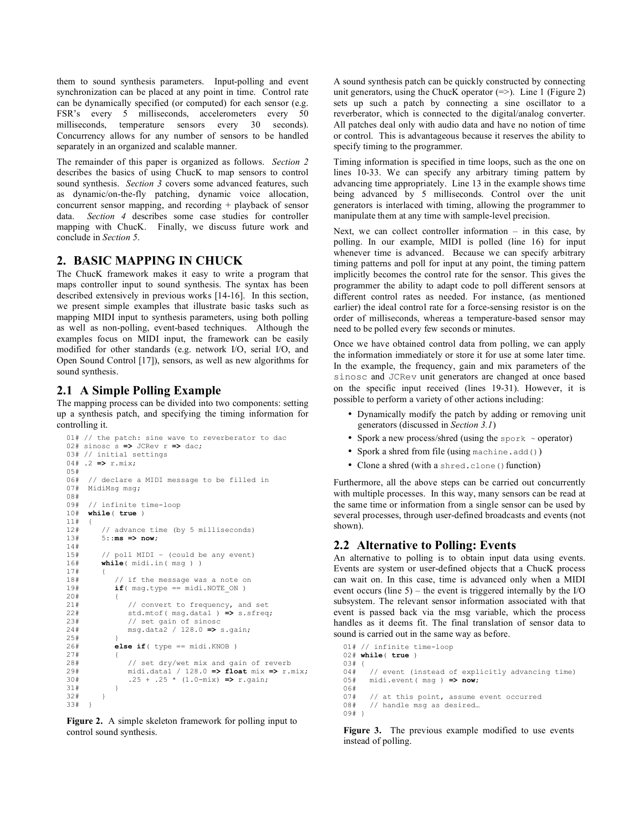them to sound synthesis parameters. Input-polling and event synchronization can be placed at any point in time. Control rate can be dynamically specified (or computed) for each sensor (e.g. FSR's every 5 milliseconds, accelerometers every 50 milliseconds, temperature sensors every 30 seconds). Concurrency allows for any number of sensors to be handled separately in an organized and scalable manner.

The remainder of this paper is organized as follows. *Section 2* describes the basics of using ChucK to map sensors to control sound synthesis. *Section 3* covers some advanced features, such as dynamic/on-the-fly patching, dynamic voice allocation, concurrent sensor mapping, and recording + playback of sensor data. *Section 4* describes some case studies for controller mapping with ChucK. Finally, we discuss future work and conclude in *Section 5*.

### **2. BASIC MAPPING IN CHUCK**

The ChucK framework makes it easy to write a program that maps controller input to sound synthesis. The syntax has been described extensively in previous works [14-16]. In this section, we present simple examples that illustrate basic tasks such as mapping MIDI input to synthesis parameters, using both polling as well as non-polling, event-based techniques. Although the examples focus on MIDI input, the framework can be easily modified for other standards (e.g. network I/O, serial I/O, and Open Sound Control [17]), sensors, as well as new algorithms for sound synthesis.

# **2.1 A Simple Polling Example**

The mapping process can be divided into two components: setting up a synthesis patch, and specifying the timing information for controlling it.

```
01# // the patch: sine wave to reverberator to dac
02# sinosc s => JCRev r => dac;
03# // initial settings
04# .2 => r.mix;
05#
06# // declare a MIDI message to be filled in<br>07# MidiMsq msq:
      MidiMsg msg;
08#
09# // infinite time-loop<br>10# while( true )while( true)
11# {<br>12#12# // advance time (by 5 milliseconds)<br>13# 5::ms \Rightarrow now:13# 5::ms => now;
14#<br>15#---<br>15# // poll MIDI – (could be any event)<br>16# while(midi.in(msq))
          while( midi.in( msg ) )
17# {<br>18#18# \frac{1}{1} if the message was a note on 19# \frac{1}{1} if (msq.tvpe == midi.NOTE ON )
              if( msg.type == minidi.NOTE ON )
20# {
21# // convert to frequency, and set<br>22# std.mtof(msg.datal) => s.sfreq
22# std.mtof( msg.data1 ) => s.sfreq;
23# // set gain of sinosc<br>24# msq.data2 / 128.0 => 9
                  24# msg.data2 / 128.0 => s.gain;
25#<br>26#else if( type == midi.KNOB )
27# {
28# // set dry/wet mix and gain of reverb<br>29# midi.data1 / 128.0 => float mix => r.1
29# midi.data1 / 128.0 => float mix => r.mix;
              25 + .25 \times (1.0-mix) \implies r.gain;31#32# }
33#
```
**Figure 2.** A simple skeleton framework for polling input to control sound synthesis.

A sound synthesis patch can be quickly constructed by connecting unit generators, using the ChucK operator  $(=>)$ . Line 1 (Figure 2) sets up such a patch by connecting a sine oscillator to a reverberator, which is connected to the digital/analog converter. All patches deal only with audio data and have no notion of time or control. This is advantageous because it reserves the ability to specify timing to the programmer.

Timing information is specified in time loops, such as the one on lines 10-33. We can specify any arbitrary timing pattern by advancing time appropriately. Line 13 in the example shows time being advanced by 5 milliseconds. Control over the unit generators is interlaced with timing, allowing the programmer to manipulate them at any time with sample-level precision.

Next, we can collect controller information – in this case, by polling. In our example, MIDI is polled (line 16) for input whenever time is advanced. Because we can specify arbitrary timing patterns and poll for input at any point, the timing pattern implicitly becomes the control rate for the sensor. This gives the programmer the ability to adapt code to poll different sensors at different control rates as needed. For instance, (as mentioned earlier) the ideal control rate for a force-sensing resistor is on the order of milliseconds, whereas a temperature-based sensor may need to be polled every few seconds or minutes.

Once we have obtained control data from polling, we can apply the information immediately or store it for use at some later time. In the example, the frequency, gain and mix parameters of the sinosc and JCRev unit generators are changed at once based on the specific input received (lines 19-31). However, it is possible to perform a variety of other actions including:

- Dynamically modify the patch by adding or removing unit generators (discussed in *Section 3.1*)
- Spork a new process/shred (using the spork  $\sim$  operator)
- Spork a shred from file (using machine.add())
- Clone a shred (with a shred.clone() function)

Furthermore, all the above steps can be carried out concurrently with multiple processes. In this way, many sensors can be read at the same time or information from a single sensor can be used by several processes, through user-defined broadcasts and events (not shown).

### **2.2 Alternative to Polling: Events**

An alternative to polling is to obtain input data using events. Events are system or user-defined objects that a ChucK process can wait on. In this case, time is advanced only when a MIDI event occurs (line  $5$ ) – the event is triggered internally by the I/O subsystem. The relevant sensor information associated with that event is passed back via the msg variable, which the process handles as it deems fit. The final translation of sensor data to sound is carried out in the same way as before.

```
01# // infinite time-loop
02# while( true )
03# {
04# // event (instead of explicitly advancing time)
05# midi.event( msg ) => now;
06#
07# // at this point, assume event occurred<br>08# // handle msq as desired...
      // handle msg as desired...
09# }
```
**Figure 3.** The previous example modified to use events instead of polling.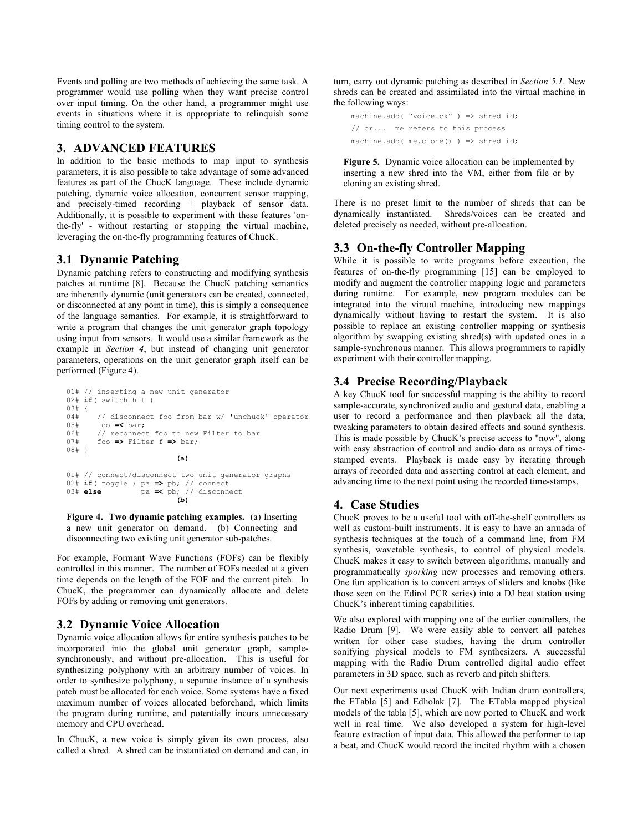Events and polling are two methods of achieving the same task. A programmer would use polling when they want precise control over input timing. On the other hand, a programmer might use events in situations where it is appropriate to relinquish some timing control to the system.

## **3. ADVANCED FEATURES**

In addition to the basic methods to map input to synthesis parameters, it is also possible to take advantage of some advanced features as part of the ChucK language. These include dynamic patching, dynamic voice allocation, concurrent sensor mapping, and precisely-timed recording + playback of sensor data. Additionally, it is possible to experiment with these features 'onthe-fly' - without restarting or stopping the virtual machine, leveraging the on-the-fly programming features of ChucK.

## **3.1 Dynamic Patching**

Dynamic patching refers to constructing and modifying synthesis patches at runtime [8]. Because the ChucK patching semantics are inherently dynamic (unit generators can be created, connected, or disconnected at any point in time), this is simply a consequence of the language semantics. For example, it is straightforward to write a program that changes the unit generator graph topology using input from sensors. It would use a similar framework as the example in *Section 4*, but instead of changing unit generator parameters, operations on the unit generator graph itself can be performed (Figure 4).

```
01# // inserting a new unit generator
02# if( switch_hit )
03# {<br>04#
04# // disconnect foo from bar w/ 'unchuck' operator<br>05# foo =< bar:
05# foo =< bar;
       // reconnect foo to new Filter to bar
07# foo => Filter f => bar;
08# }
                           (a)
01# // connect/disconnect two unit generator graphs
```
02# **if**( toggle ) pa **=>** pb; // connect 03# **else** pa **=<** pb; // disconnect **(b)**

**Figure 4. Two dynamic patching examples.** (a) Inserting a new unit generator on demand. (b) Connecting and disconnecting two existing unit generator sub-patches.

For example, Formant Wave Functions (FOFs) can be flexibly controlled in this manner. The number of FOFs needed at a given time depends on the length of the FOF and the current pitch. In ChucK, the programmer can dynamically allocate and delete FOFs by adding or removing unit generators.

# **3.2 Dynamic Voice Allocation**

Dynamic voice allocation allows for entire synthesis patches to be incorporated into the global unit generator graph, samplesynchronously, and without pre-allocation. This is useful for synthesizing polyphony with an arbitrary number of voices. In order to synthesize polyphony, a separate instance of a synthesis patch must be allocated for each voice. Some systems have a fixed maximum number of voices allocated beforehand, which limits the program during runtime, and potentially incurs unnecessary memory and CPU overhead.

In ChucK, a new voice is simply given its own process, also called a shred. A shred can be instantiated on demand and can, in turn, carry out dynamic patching as described in *Section 5.1*. New shreds can be created and assimilated into the virtual machine in the following ways:

```
machine.add( "voice.ck" ) => shred id;
// or... me refers to this process
machine.add( me.clone() ) => shred id;
```
**Figure 5.** Dynamic voice allocation can be implemented by inserting a new shred into the VM, either from file or by cloning an existing shred.

There is no preset limit to the number of shreds that can be dynamically instantiated. Shreds/voices can be created and deleted precisely as needed, without pre-allocation.

# **3.3 On-the-fly Controller Mapping**

While it is possible to write programs before execution, the features of on-the-fly programming [15] can be employed to modify and augment the controller mapping logic and parameters during runtime. For example, new program modules can be integrated into the virtual machine, introducing new mappings dynamically without having to restart the system. It is also possible to replace an existing controller mapping or synthesis algorithm by swapping existing shred(s) with updated ones in a sample-synchronous manner. This allows programmers to rapidly experiment with their controller mapping.

# **3.4 Precise Recording/Playback**

A key ChucK tool for successful mapping is the ability to record sample-accurate, synchronized audio and gestural data, enabling a user to record a performance and then playback all the data, tweaking parameters to obtain desired effects and sound synthesis. This is made possible by ChucK's precise access to "now", along with easy abstraction of control and audio data as arrays of timestamped events. Playback is made easy by iterating through arrays of recorded data and asserting control at each element, and advancing time to the next point using the recorded time-stamps.

# **4. Case Studies**

ChucK proves to be a useful tool with off-the-shelf controllers as well as custom-built instruments. It is easy to have an armada of synthesis techniques at the touch of a command line, from FM synthesis, wavetable synthesis, to control of physical models. ChucK makes it easy to switch between algorithms, manually and programmatically *sporking* new processes and removing others. One fun application is to convert arrays of sliders and knobs (like those seen on the Edirol PCR series) into a DJ beat station using ChucK's inherent timing capabilities.

We also explored with mapping one of the earlier controllers, the Radio Drum [9]. We were easily able to convert all patches written for other case studies, having the drum controller sonifying physical models to FM synthesizers. A successful mapping with the Radio Drum controlled digital audio effect parameters in 3D space, such as reverb and pitch shifters.

Our next experiments used ChucK with Indian drum controllers, the ETabla [5] and Edholak [7]. The ETabla mapped physical models of the tabla [5], which are now ported to ChucK and work well in real time. We also developed a system for high-level feature extraction of input data. This allowed the performer to tap a beat, and ChucK would record the incited rhythm with a chosen